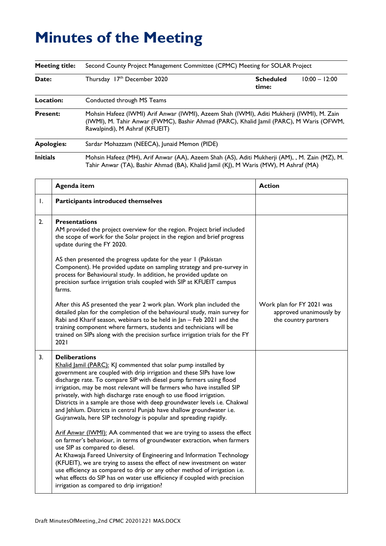## **Minutes of the Meeting**

| <b>Meeting title:</b> | Second County Project Management Committee (CPMC) Meeting for SOLAR Project                                                                                                                                            |                           |                 |
|-----------------------|------------------------------------------------------------------------------------------------------------------------------------------------------------------------------------------------------------------------|---------------------------|-----------------|
| Date:                 | Thursday 17th December 2020                                                                                                                                                                                            | <b>Scheduled</b><br>time: | $10:00 - 12:00$ |
| Location:             | Conducted through MS Teams                                                                                                                                                                                             |                           |                 |
| <b>Present:</b>       | Mohsin Hafeez (IWMI) Arif Anwar (IWMI), Azeem Shah (IWMI), Aditi Mukherji (IWMI), M. Zain<br>(IWMI), M. Tahir Anwar (FWMC), Bashir Ahmad (PARC), Khalid Jamil (PARC), M Waris (OFWM,<br>Rawalpindi), M Ashraf (KFUEIT) |                           |                 |
| <b>Apologies:</b>     | Sardar Mohazzam (NEECA), Junaid Memon (PIDE)                                                                                                                                                                           |                           |                 |
| <b>Initials</b>       | Mohsin Hafeez (MH), Arif Anwar (AA), Azeem Shah (AS), Aditi Mukherji (AM), , M. Zain (MZ), M.<br>Tahir Anwar (TA), Bashir Ahmad (BA), Khalid Jamil (KJ), M Waris (MW), M Ashraf (MA)                                   |                           |                 |

|    | <b>Agenda item</b>                                                                                                                                                                                                                                                                                                                                                                                                                                                                                                                                                                                                                                                                                                                                                                                                                                                                                                                                                                                                                                                                                                                                                     | <b>Action</b>                                                                |
|----|------------------------------------------------------------------------------------------------------------------------------------------------------------------------------------------------------------------------------------------------------------------------------------------------------------------------------------------------------------------------------------------------------------------------------------------------------------------------------------------------------------------------------------------------------------------------------------------------------------------------------------------------------------------------------------------------------------------------------------------------------------------------------------------------------------------------------------------------------------------------------------------------------------------------------------------------------------------------------------------------------------------------------------------------------------------------------------------------------------------------------------------------------------------------|------------------------------------------------------------------------------|
| Ι. | Participants introduced themselves                                                                                                                                                                                                                                                                                                                                                                                                                                                                                                                                                                                                                                                                                                                                                                                                                                                                                                                                                                                                                                                                                                                                     |                                                                              |
| 2. | <b>Presentations</b><br>AM provided the project overview for the region. Project brief included<br>the scope of work for the Solar project in the region and brief progress<br>update during the FY 2020.                                                                                                                                                                                                                                                                                                                                                                                                                                                                                                                                                                                                                                                                                                                                                                                                                                                                                                                                                              |                                                                              |
|    | AS then presented the progress update for the year I (Pakistan<br>Component). He provided update on sampling strategy and pre-survey in<br>process for Behavioural study. In addition, he provided update on<br>precision surface irrigation trials coupled with SIP at KFUEIT campus<br>farms.                                                                                                                                                                                                                                                                                                                                                                                                                                                                                                                                                                                                                                                                                                                                                                                                                                                                        |                                                                              |
|    | After this AS presented the year 2 work plan. Work plan included the<br>detailed plan for the completion of the behavioural study, main survey for<br>Rabi and Kharif season, webinars to be held in Jan - Feb 2021 and the<br>training component where farmers, students and technicians will be<br>trained on SIPs along with the precision surface irrigation trials for the FY<br>2021                                                                                                                                                                                                                                                                                                                                                                                                                                                                                                                                                                                                                                                                                                                                                                             | Work plan for FY 2021 was<br>approved unanimously by<br>the country partners |
| 3. | <b>Deliberations</b><br>Khalid Jamil (PARC): KJ commented that solar pump installed by<br>government are coupled with drip irrigation and these SIPs have low<br>discharge rate. To compare SIP with diesel pump farmers using flood<br>irrigation, may be most relevant will be farmers who have installed SIP<br>privately, with high discharge rate enough to use flood irrigation.<br>Districts in a sample are those with deep groundwater levels i.e. Chakwal<br>and Jehlum. Districts in central Punjab have shallow groundwater i.e.<br>Gujranwala, here SIP technology is popular and spreading rapidly.<br>Arif Anwar (IWMI): AA commented that we are trying to assess the effect<br>on farmer's behaviour, in terms of groundwater extraction, when farmers<br>use SIP as compared to diesel.<br>At Khawaja Fareed University of Engineering and Information Technology<br>(KFUEIT), we are trying to assess the effect of new investment on water<br>use efficiency as compared to drip or any other method of irrigation i.e.<br>what effects do SIP has on water use efficiency if coupled with precision<br>irrigation as compared to drip irrigation? |                                                                              |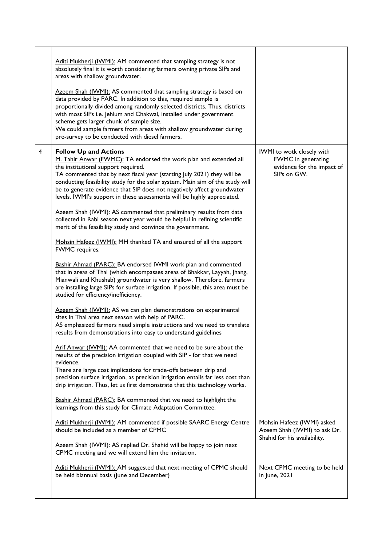|   | Aditi Mukherji (IWMI): AM commented that sampling strategy is not<br>absolutely final it is worth considering farmers owning private SIPs and<br>areas with shallow groundwater.<br>Azeem Shah (IWMI): AS commented that sampling strategy is based on<br>data provided by PARC. In addition to this, required sample is<br>proportionally divided among randomly selected districts. Thus, districts<br>with most SIPs i.e. Jehlum and Chakwal, installed under government<br>scheme gets larger chunk of sample size.<br>We could sample farmers from areas with shallow groundwater during<br>pre-survey to be conducted with diesel farmers.                                                                                                                                                                                                                                                                                                                                                                                                                                                                                                                                                                                                                                                                                                                                                                                                                                                                                                                                                                                                                                                                                                                                                                                                                                                                                      |                                                                                              |
|---|---------------------------------------------------------------------------------------------------------------------------------------------------------------------------------------------------------------------------------------------------------------------------------------------------------------------------------------------------------------------------------------------------------------------------------------------------------------------------------------------------------------------------------------------------------------------------------------------------------------------------------------------------------------------------------------------------------------------------------------------------------------------------------------------------------------------------------------------------------------------------------------------------------------------------------------------------------------------------------------------------------------------------------------------------------------------------------------------------------------------------------------------------------------------------------------------------------------------------------------------------------------------------------------------------------------------------------------------------------------------------------------------------------------------------------------------------------------------------------------------------------------------------------------------------------------------------------------------------------------------------------------------------------------------------------------------------------------------------------------------------------------------------------------------------------------------------------------------------------------------------------------------------------------------------------------|----------------------------------------------------------------------------------------------|
| 4 | <b>Follow Up and Actions</b><br>M. Tahir Anwar (FWMC): TA endorsed the work plan and extended all<br>the institutional support required.<br>TA commented that by next fiscal year (starting July 2021) they will be<br>conducting feasibility study for the solar system. Main aim of the study will<br>be to generate evidence that SIP does not negatively affect groundwater<br>levels. IWMI's support in these assessments will be highly appreciated.<br>Azeem Shah (IWMI): AS commented that preliminary results from data<br>collected in Rabi season next year would be helpful in refining scientific<br>merit of the feasibility study and convince the government.<br>Mohsin Hafeez (IWMI): MH thanked TA and ensured of all the support<br>FWMC requires.<br>Bashir Ahmad (PARC): BA endorsed IWMI work plan and commented<br>that in areas of Thal (which encompasses areas of Bhakkar, Layyah, Jhang,<br>Mianwali and Khushab) groundwater is very shallow. Therefore, farmers<br>are installing large SIPs for surface irrigation. If possible, this area must be<br>studied for efficiency/inefficiency.<br>Azeem Shah (IWMI): AS we can plan demonstrations on experimental<br>sites in Thal area next season with help of PARC.<br>AS emphasized farmers need simple instructions and we need to translate<br>results from demonstrations into easy to understand guidelines<br>Arif Anwar (IWMI): AA commented that we need to be sure about the<br>results of the precision irrigation coupled with SIP - for that we need<br>evidence.<br>There are large cost implications for trade-offs between drip and<br>precision surface irrigation, as precision irrigation entails far less cost than<br>drip irrigation. Thus, let us first demonstrate that this technology works.<br>Bashir Ahmad (PARC): BA commented that we need to highlight the<br>learnings from this study for Climate Adaptation Committee. | IWMI to wotk closely with<br>FWMC in generating<br>evidence for the impact of<br>SIPs on GW. |
|   | Aditi Mukherji (IWMI): AM commented if possible SAARC Energy Centre<br>should be included as a member of CPMC<br>Azeem Shah (IWMI): AS replied Dr. Shahid will be happy to join next<br>CPMC meeting and we will extend him the invitation.                                                                                                                                                                                                                                                                                                                                                                                                                                                                                                                                                                                                                                                                                                                                                                                                                                                                                                                                                                                                                                                                                                                                                                                                                                                                                                                                                                                                                                                                                                                                                                                                                                                                                           | Mohsin Hafeez (IWMI) asked<br>Azeem Shah (IWMI) to ask Dr.<br>Shahid for his availability.   |
|   | Aditi Mukherji (IWMI): AM suggested that next meeting of CPMC should<br>be held biannual basis (June and December)                                                                                                                                                                                                                                                                                                                                                                                                                                                                                                                                                                                                                                                                                                                                                                                                                                                                                                                                                                                                                                                                                                                                                                                                                                                                                                                                                                                                                                                                                                                                                                                                                                                                                                                                                                                                                    | Next CPMC meeting to be held<br>in June, 2021                                                |